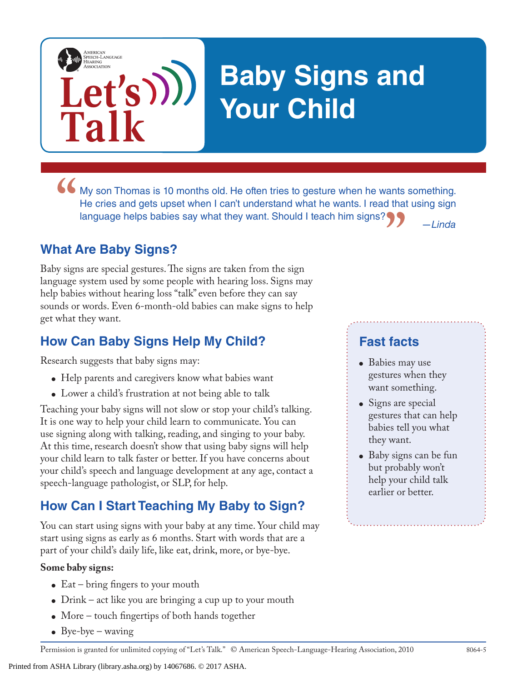# **Baby Signs and Your Child**

• My son Thomas is 10 months old. He often tries to gesture when he wants something.<br>He cries and gets upset when I can't understand what he wants. I read that using sign language helps babies say what they want. Should I **"** *—Linda* He cries and gets upset when I can't understand what he wants. I read that using sign language helps babies say what they want. Should I teach him signs?

## **What Are Baby Signs?**

**Talk**

AMERICAN<br>SPEECH-LANGUAGE-<br>HEARING<br>ASSOCIATION

**Let's**

Baby signs are special gestures. The signs are taken from the sign language system used by some people with hearing loss. Signs may help babies without hearing loss "talk" even before they can say sounds or words. Even 6-month-old babies can make signs to help get what they want.

## **How Can Baby Signs Help My Child?**

Research suggests that baby signs may:

- Help parents and caregivers know what babies want
- Lower a child's frustration at not being able to talk

Teaching your baby signs will not slow or stop your child's talking. It is one way to help your child learn to communicate. You can use signing along with talking, reading, and singing to your baby. At this time, research doesn't show that using baby signs will help your child learn to talk faster or better. If you have concerns about your child's speech and language development at any age, contact a speech-language pathologist, or SLP, for help.

## **How Can I Start Teaching My Baby to Sign?**

You can start using signs with your baby at any time. Your child may start using signs as early as 6 months. Start with words that are a part of your child's daily life, like eat, drink, more, or bye-bye.

#### **Some baby signs:**

- Eat bring fingers to your mouth
- Drink act like you are bringing a cup up to your mouth
- More touch fingertips of both hands together
- Bye-bye waving

## **Fast facts**

- Babies may use gestures when they want something.
- Signs are special gestures that can help babies tell you what they want.
- Baby signs can be fun but probably won't help your child talk earlier or better.